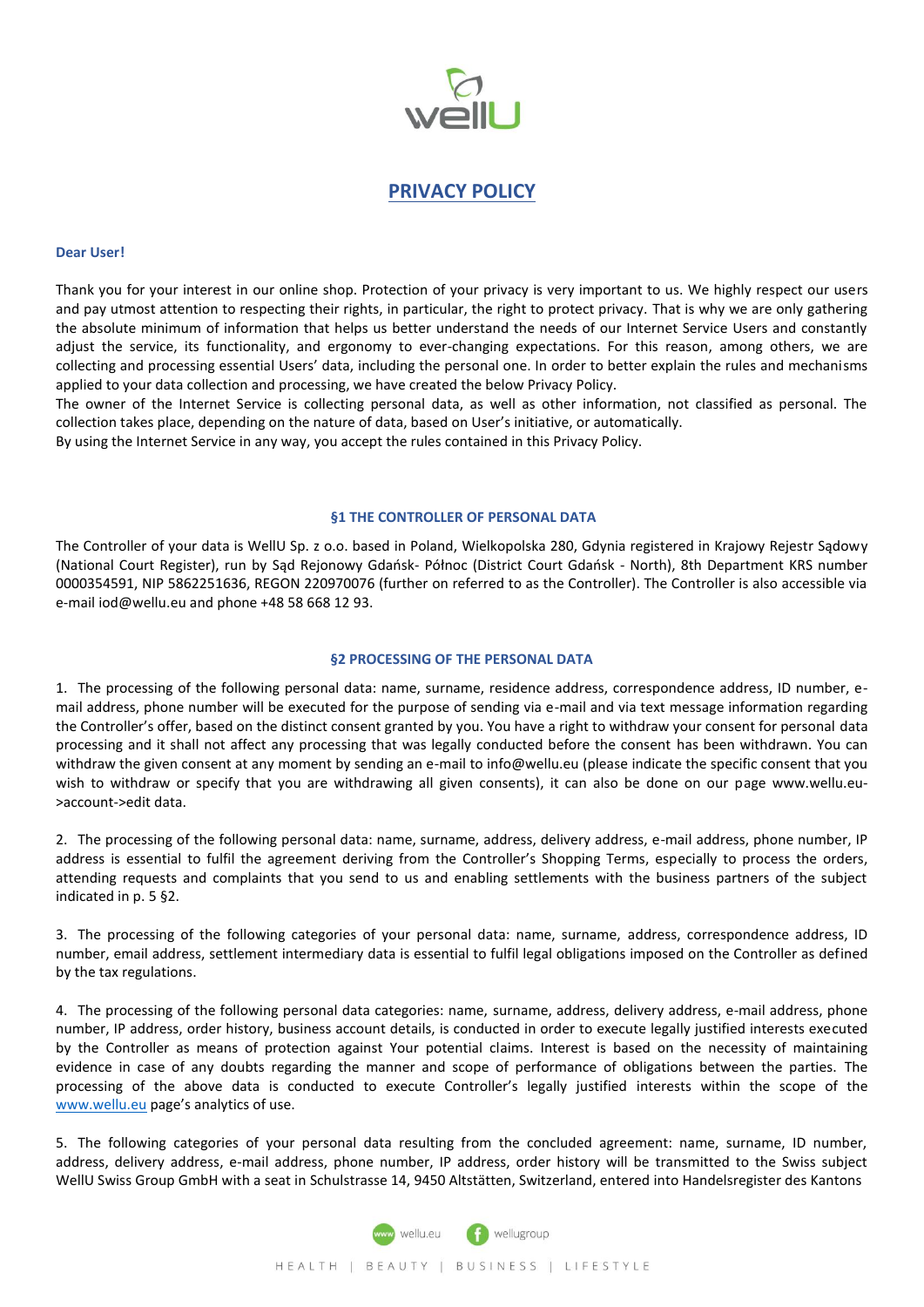

# **PRIVACY POLICY**

#### **Dear User!**

Thank you for your interest in our online shop. Protection of your privacy is very important to us. We highly respect our users and pay utmost attention to respecting their rights, in particular, the right to protect privacy. That is why we are only gathering the absolute minimum of information that helps us better understand the needs of our Internet Service Users and constantly adjust the service, its functionality, and ergonomy to ever-changing expectations. For this reason, among others, we are collecting and processing essential Users' data, including the personal one. In order to better explain the rules and mechanisms applied to your data collection and processing, we have created the below Privacy Policy.

The owner of the Internet Service is collecting personal data, as well as other information, not classified as personal. The collection takes place, depending on the nature of data, based on User's initiative, or automatically.

By using the Internet Service in any way, you accept the rules contained in this Privacy Policy.

## **§1 THE CONTROLLER OF PERSONAL DATA**

The Controller of your data is WellU Sp. z o.o. based in Poland, Wielkopolska 280, Gdynia registered in Krajowy Rejestr Sądowy (National Court Register), run by Sąd Rejonowy Gdańsk- Północ (District Court Gdańsk - North), 8th Department KRS number 0000354591, NIP 5862251636, REGON 220970076 (further on referred to as the Controller). The Controller is also accessible via e-mail iod@wellu.eu and phone +48 58 668 12 93.

## **§2 PROCESSING OF THE PERSONAL DATA**

1. The processing of the following personal data: name, surname, residence address, correspondence address, ID number, email address, phone number will be executed for the purpose of sending via e-mail and via text message information regarding the Controller's offer, based on the distinct consent granted by you. You have a right to withdraw your consent for personal data processing and it shall not affect any processing that was legally conducted before the consent has been withdrawn. You can withdraw the given consent at any moment by sending an e-mail to info@wellu.eu (please indicate the specific consent that you wish to withdraw or specify that you are withdrawing all given consents), it can also be done on our page www.wellu.eu- >account->edit data.

2. The processing of the following personal data: name, surname, address, delivery address, e-mail address, phone number, IP address is essential to fulfil the agreement deriving from the Controller's Shopping Terms, especially to process the orders, attending requests and complaints that you send to us and enabling settlements with the business partners of the subject indicated in p. 5 §2.

3. The processing of the following categories of your personal data: name, surname, address, correspondence address, ID number, email address, settlement intermediary data is essential to fulfil legal obligations imposed on the Controller as defined by the tax regulations.

4. The processing of the following personal data categories: name, surname, address, delivery address, e-mail address, phone number, IP address, order history, business account details, is conducted in order to execute legally justified interests executed by the Controller as means of protection against Your potential claims. Interest is based on the necessity of maintaining evidence in case of any doubts regarding the manner and scope of performance of obligations between the parties. The processing of the above data is conducted to execute Controller's legally justified interests within the scope of the [www.wellu.eu](http://www.wellu.eu/) page's analytics of use.

5. The following categories of your personal data resulting from the concluded agreement: name, surname, ID number, address, delivery address, e-mail address, phone number, IP address, order history will be transmitted to the Swiss subject WellU Swiss Group GmbH with a seat in Schulstrasse 14, 9450 Altstätten, Switzerland, entered into Handelsregister des Kantons

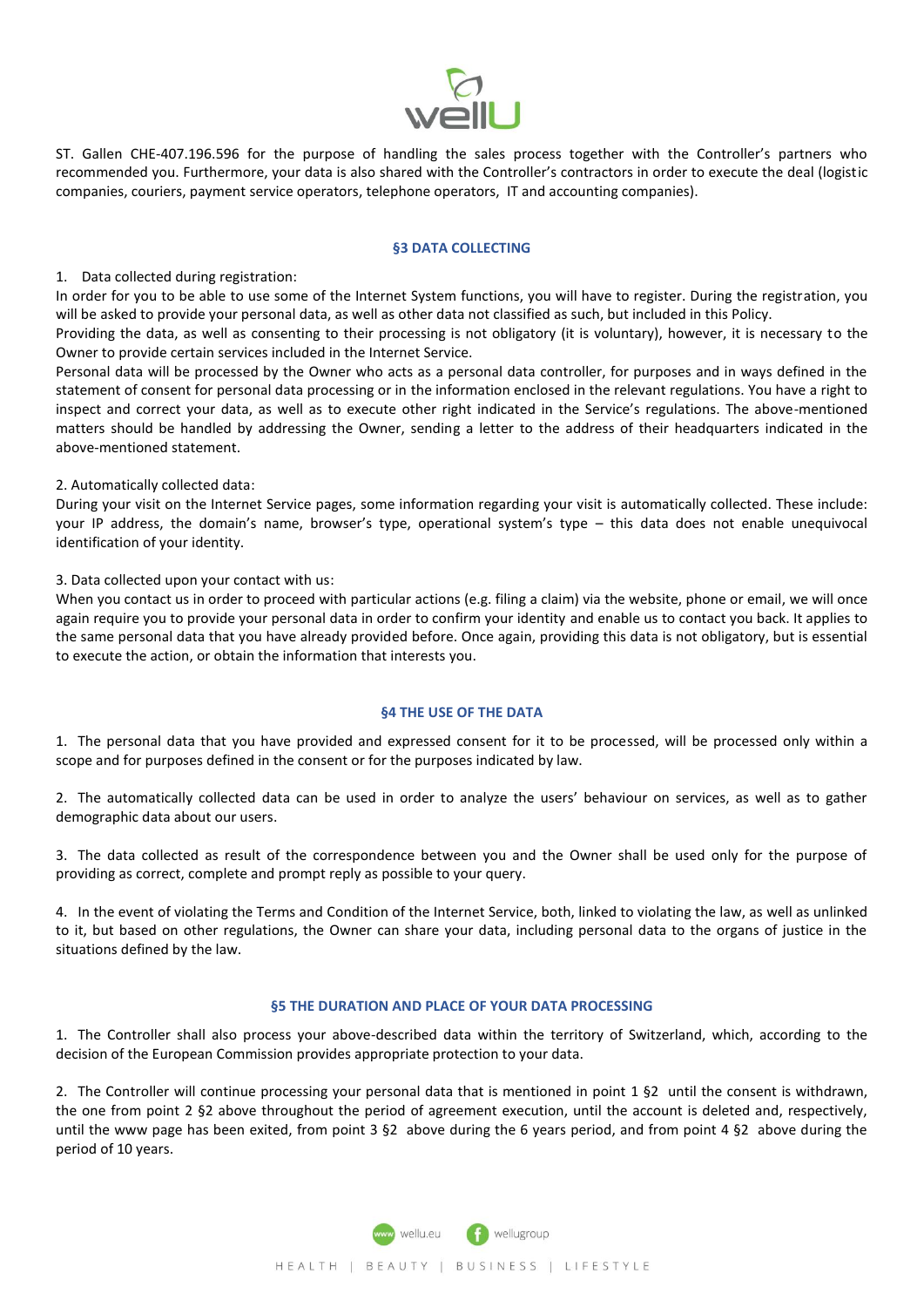

ST. Gallen CHE-407.196.596 for the purpose of handling the sales process together with the Controller's partners who recommended you. Furthermore, your data is also shared with the Controller's contractors in order to execute the deal (logistic companies, couriers, payment service operators, telephone operators, IT and accounting companies).

#### **§3 DATA COLLECTING**

### 1. Data collected during registration:

In order for you to be able to use some of the Internet System functions, you will have to register. During the registration, you will be asked to provide your personal data, as well as other data not classified as such, but included in this Policy.

Providing the data, as well as consenting to their processing is not obligatory (it is voluntary), however, it is necessary to the Owner to provide certain services included in the Internet Service.

Personal data will be processed by the Owner who acts as a personal data controller, for purposes and in ways defined in the statement of consent for personal data processing or in the information enclosed in the relevant regulations. You have a right to inspect and correct your data, as well as to execute other right indicated in the Service's regulations. The above-mentioned matters should be handled by addressing the Owner, sending a letter to the address of their headquarters indicated in the above-mentioned statement.

#### 2. Automatically collected data:

During your visit on the Internet Service pages, some information regarding your visit is automatically collected. These include: your IP address, the domain's name, browser's type, operational system's type – this data does not enable unequivocal identification of your identity.

3. Data collected upon your contact with us:

When you contact us in order to proceed with particular actions (e.g. filing a claim) via the website, phone or email, we will once again require you to provide your personal data in order to confirm your identity and enable us to contact you back. It applies to the same personal data that you have already provided before. Once again, providing this data is not obligatory, but is essential to execute the action, or obtain the information that interests you.

#### **§4 THE USE OF THE DATA**

1. The personal data that you have provided and expressed consent for it to be processed, will be processed only within a scope and for purposes defined in the consent or for the purposes indicated by law.

2. The automatically collected data can be used in order to analyze the users' behaviour on services, as well as to gather demographic data about our users.

3. The data collected as result of the correspondence between you and the Owner shall be used only for the purpose of providing as correct, complete and prompt reply as possible to your query.

4. In the event of violating the Terms and Condition of the Internet Service, both, linked to violating the law, as well as unlinked to it, but based on other regulations, the Owner can share your data, including personal data to the organs of justice in the situations defined by the law.

#### **§5 THE DURATION AND PLACE OF YOUR DATA PROCESSING**

1. The Controller shall also process your above-described data within the territory of Switzerland, which, according to the decision of the European Commission provides appropriate protection to your data.

2. The Controller will continue processing your personal data that is mentioned in point 1 §2 until the consent is withdrawn, the one from point 2 §2 above throughout the period of agreement execution, until the account is deleted and, respectively, until the www page has been exited, from point 3 §2 above during the 6 years period, and from point 4 §2 above during the period of 10 years.

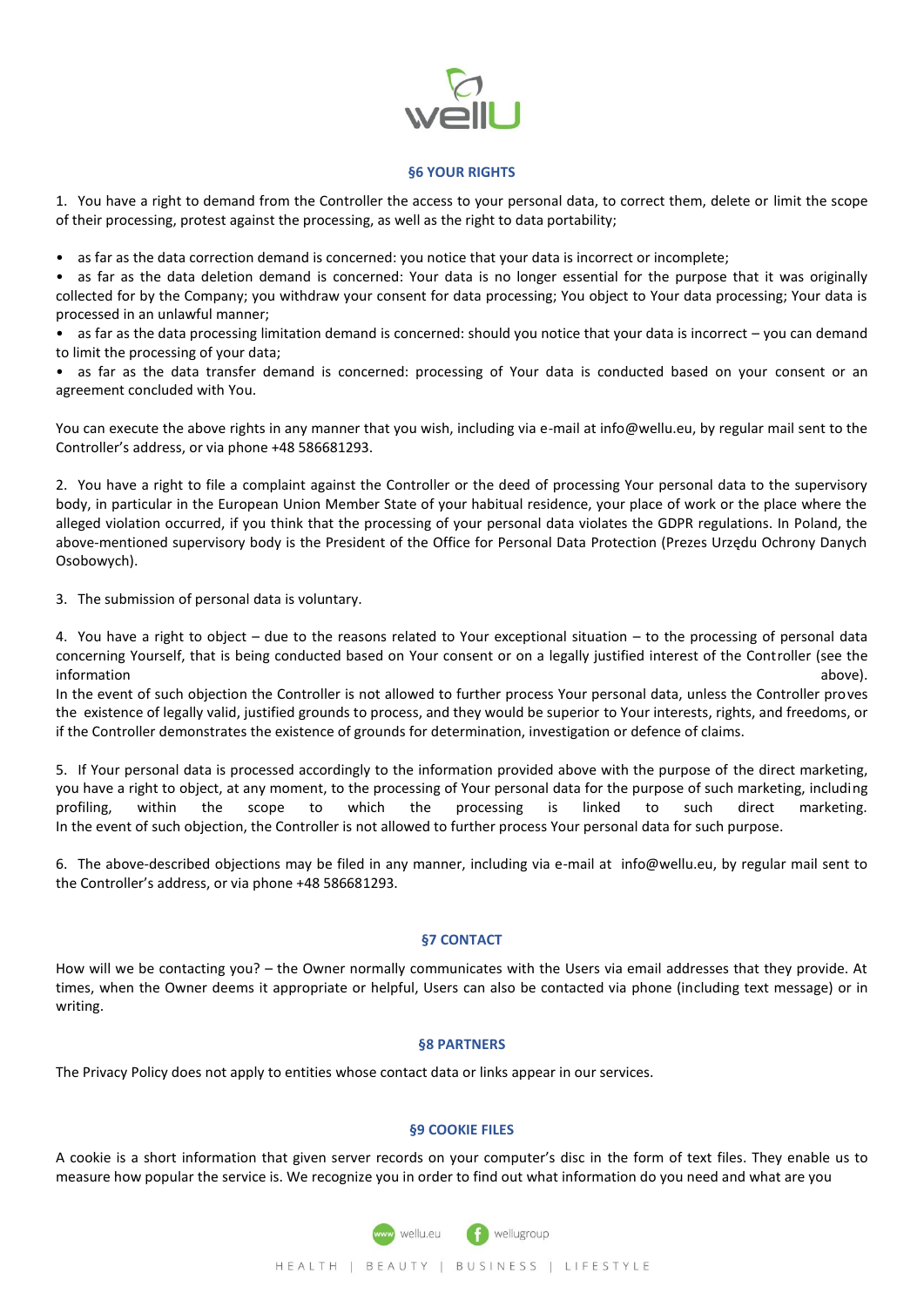

## **§6 YOUR RIGHTS**

1. You have a right to demand from the Controller the access to your personal data, to correct them, delete or limit the scope of their processing, protest against the processing, as well as the right to data portability;

• as far as the data correction demand is concerned: you notice that your data is incorrect or incomplete;

• as far as the data deletion demand is concerned: Your data is no longer essential for the purpose that it was originally collected for by the Company; you withdraw your consent for data processing; You object to Your data processing; Your data is processed in an unlawful manner;

• as far as the data processing limitation demand is concerned: should you notice that your data is incorrect – you can demand to limit the processing of your data;

as far as the data transfer demand is concerned: processing of Your data is conducted based on your consent or an agreement concluded with You.

You can execute the above rights in any manner that you wish, including via e-mail at info@wellu.eu, by regular mail sent to the Controller's address, or via phone +48 586681293.

2. You have a right to file a complaint against the Controller or the deed of processing Your personal data to the supervisory body, in particular in the European Union Member State of your habitual residence, your place of work or the place where the alleged violation occurred, if you think that the processing of your personal data violates the GDPR regulations. In Poland, the above-mentioned supervisory body is the President of the Office for Personal Data Protection (Prezes Urzędu Ochrony Danych Osobowych).

3. The submission of personal data is voluntary.

4. You have a right to object – due to the reasons related to Your exceptional situation – to the processing of personal data concerning Yourself, that is being conducted based on Your consent or on a legally justified interest of the Controller (see the  $\blacksquare$ information above). The state of the state of the state of the state of the state  $\blacksquare$ 

In the event of such objection the Controller is not allowed to further process Your personal data, unless the Controller proves the existence of legally valid, justified grounds to process, and they would be superior to Your interests, rights, and freedoms, or if the Controller demonstrates the existence of grounds for determination, investigation or defence of claims.

5. If Your personal data is processed accordingly to the information provided above with the purpose of the direct marketing, you have a right to object, at any moment, to the processing of Your personal data for the purpose of such marketing, including profiling, within the scope to which the processing is linked to such direct marketing. In the event of such objection, the Controller is not allowed to further process Your personal data for such purpose.

6. The above-described objections may be filed in any manner, including via e-mail at info@wellu.eu, by regular mail sent to the Controller's address, or via phone +48 586681293.

# **§7 CONTACT**

How will we be contacting you? – the Owner normally communicates with the Users via email addresses that they provide. At times, when the Owner deems it appropriate or helpful, Users can also be contacted via phone (including text message) or in writing.

# **§8 PARTNERS**

The Privacy Policy does not apply to entities whose contact data or links appear in our services.

# **§9 COOKIE FILES**

A cookie is a short information that given server records on your computer's disc in the form of text files. They enable us to measure how popular the service is. We recognize you in order to find out what information do you need and what are you

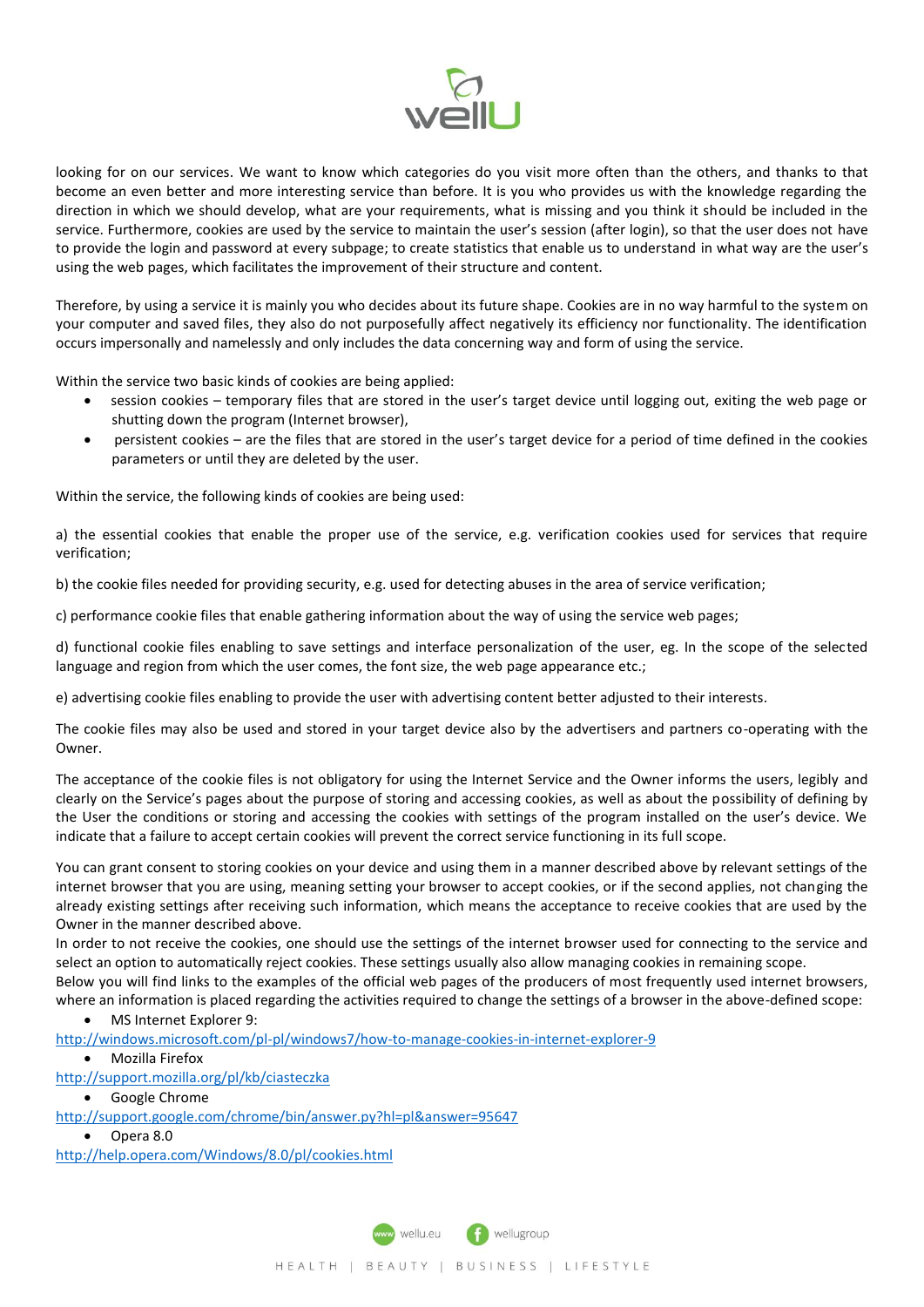

looking for on our services. We want to know which categories do you visit more often than the others, and thanks to that become an even better and more interesting service than before. It is you who provides us with the knowledge regarding the direction in which we should develop, what are your requirements, what is missing and you think it should be included in the service. Furthermore, cookies are used by the service to maintain the user's session (after login), so that the user does not have to provide the login and password at every subpage; to create statistics that enable us to understand in what way are the user's using the web pages, which facilitates the improvement of their structure and content.

Therefore, by using a service it is mainly you who decides about its future shape. Cookies are in no way harmful to the system on your computer and saved files, they also do not purposefully affect negatively its efficiency nor functionality. The identification occurs impersonally and namelessly and only includes the data concerning way and form of using the service.

Within the service two basic kinds of cookies are being applied:

- session cookies temporary files that are stored in the user's target device until logging out, exiting the web page or shutting down the program (Internet browser),
- persistent cookies are the files that are stored in the user's target device for a period of time defined in the cookies parameters or until they are deleted by the user.

Within the service, the following kinds of cookies are being used:

a) the essential cookies that enable the proper use of the service, e.g. verification cookies used for services that require verification;

b) the cookie files needed for providing security, e.g. used for detecting abuses in the area of service verification;

c) performance cookie files that enable gathering information about the way of using the service web pages;

d) functional cookie files enabling to save settings and interface personalization of the user, eg. In the scope of the selected language and region from which the user comes, the font size, the web page appearance etc.;

e) advertising cookie files enabling to provide the user with advertising content better adjusted to their interests.

The cookie files may also be used and stored in your target device also by the advertisers and partners co-operating with the Owner.

The acceptance of the cookie files is not obligatory for using the Internet Service and the Owner informs the users, legibly and clearly on the Service's pages about the purpose of storing and accessing cookies, as well as about the possibility of defining by the User the conditions or storing and accessing the cookies with settings of the program installed on the user's device. We indicate that a failure to accept certain cookies will prevent the correct service functioning in its full scope.

You can grant consent to storing cookies on your device and using them in a manner described above by relevant settings of the internet browser that you are using, meaning setting your browser to accept cookies, or if the second applies, not changing the already existing settings after receiving such information, which means the acceptance to receive cookies that are used by the Owner in the manner described above.

In order to not receive the cookies, one should use the settings of the internet browser used for connecting to the service and select an option to automatically reject cookies. These settings usually also allow managing cookies in remaining scope.

Below you will find links to the examples of the official web pages of the producers of most frequently used internet browsers, where an information is placed regarding the activities required to change the settings of a browser in the above-defined scope:

• MS Internet Explorer 9:

<http://windows.microsoft.com/pl-pl/windows7/how-to-manage-cookies-in-internet-explorer-9>

• Mozilla Firefox

<http://support.mozilla.org/pl/kb/ciasteczka>

• Google Chrome

<http://support.google.com/chrome/bin/answer.py?hl=pl&answer=95647>

• Opera 8.0

<http://help.opera.com/Windows/8.0/pl/cookies.html>